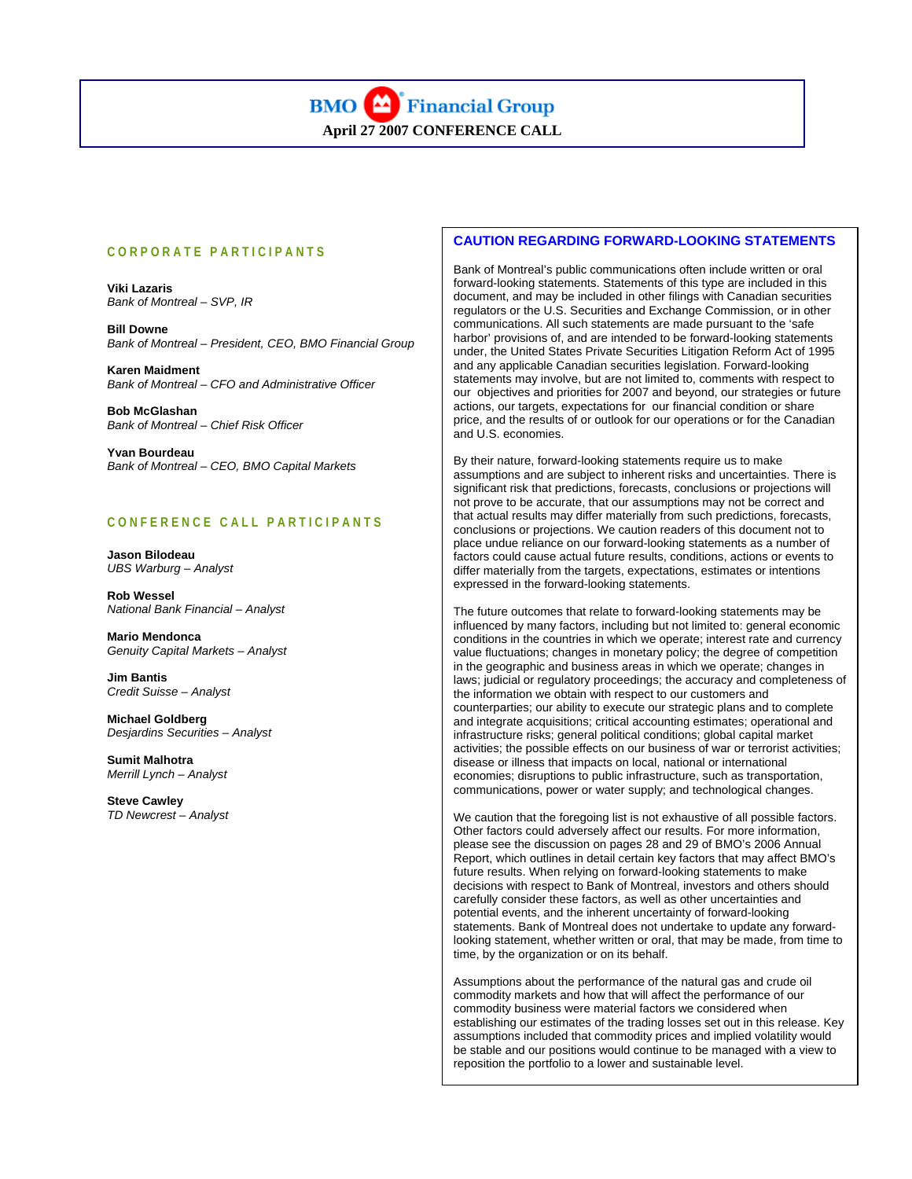

# **CORPORATE PARTICIPANTS**

**Viki Lazaris**  *Bank of Montreal – SVP, IR* 

**Bill Downe**  *Bank of Montreal – President, CEO, BMO Financial Group* 

**Karen Maidment**  *Bank of Montreal – CFO and Administrative Officer* 

**Bob McGlashan**  *Bank of Montreal – Chief Risk Officer* 

**Yvan Bourdeau**  *Bank of Montreal – CEO, BMO Capital Markets* 

# **CONFERENCE CALL PARTICIPANTS**

**Jason Bilodeau**  *UBS Warburg – Analyst* 

**Rob Wessel**  *National Bank Financial – Analyst* 

**Mario Mendonca** *Genuity Capital Markets – Analyst* 

**Jim Bantis**  *Credit Suisse – Analyst* 

**Michael Goldberg**  *Desjardins Securities – Analyst* 

**Sumit Malhotra**  *Merrill Lynch – Analyst* 

**Steve Cawley**  *TD Newcrest – Analyst* 

# **CAUTION REGARDING FORWARD-LOOKING STATEMENTS**

Bank of Montreal's public communications often include written or oral forward-looking statements. Statements of this type are included in this document, and may be included in other filings with Canadian securities regulators or the U.S. Securities and Exchange Commission, or in other communications. All such statements are made pursuant to the 'safe harbor' provisions of, and are intended to be forward-looking statements under, the United States Private Securities Litigation Reform Act of 1995 and any applicable Canadian securities legislation. Forward-looking statements may involve, but are not limited to, comments with respect to our objectives and priorities for 2007 and beyond, our strategies or future actions, our targets, expectations for our financial condition or share price, and the results of or outlook for our operations or for the Canadian and U.S. economies.

By their nature, forward-looking statements require us to make assumptions and are subject to inherent risks and uncertainties. There is significant risk that predictions, forecasts, conclusions or projections will not prove to be accurate, that our assumptions may not be correct and that actual results may differ materially from such predictions, forecasts, conclusions or projections. We caution readers of this document not to place undue reliance on our forward-looking statements as a number of factors could cause actual future results, conditions, actions or events to differ materially from the targets, expectations, estimates or intentions expressed in the forward-looking statements.

The future outcomes that relate to forward-looking statements may be influenced by many factors, including but not limited to: general economic conditions in the countries in which we operate; interest rate and currency value fluctuations; changes in monetary policy; the degree of competition in the geographic and business areas in which we operate; changes in laws; judicial or regulatory proceedings; the accuracy and completeness of the information we obtain with respect to our customers and counterparties; our ability to execute our strategic plans and to complete and integrate acquisitions; critical accounting estimates; operational and infrastructure risks; general political conditions; global capital market activities; the possible effects on our business of war or terrorist activities; disease or illness that impacts on local, national or international economies; disruptions to public infrastructure, such as transportation, communications, power or water supply; and technological changes.

We caution that the foregoing list is not exhaustive of all possible factors. Other factors could adversely affect our results. For more information, please see the discussion on pages 28 and 29 of BMO's 2006 Annual Report, which outlines in detail certain key factors that may affect BMO's future results. When relying on forward-looking statements to make decisions with respect to Bank of Montreal, investors and others should carefully consider these factors, as well as other uncertainties and potential events, and the inherent uncertainty of forward-looking statements. Bank of Montreal does not undertake to update any forwardlooking statement, whether written or oral, that may be made, from time to time, by the organization or on its behalf.

Assumptions about the performance of the natural gas and crude oil commodity markets and how that will affect the performance of our commodity business were material factors we considered when establishing our estimates of the trading losses set out in this release. Key assumptions included that commodity prices and implied volatility would be stable and our positions would continue to be managed with a view to reposition the portfolio to a lower and sustainable level.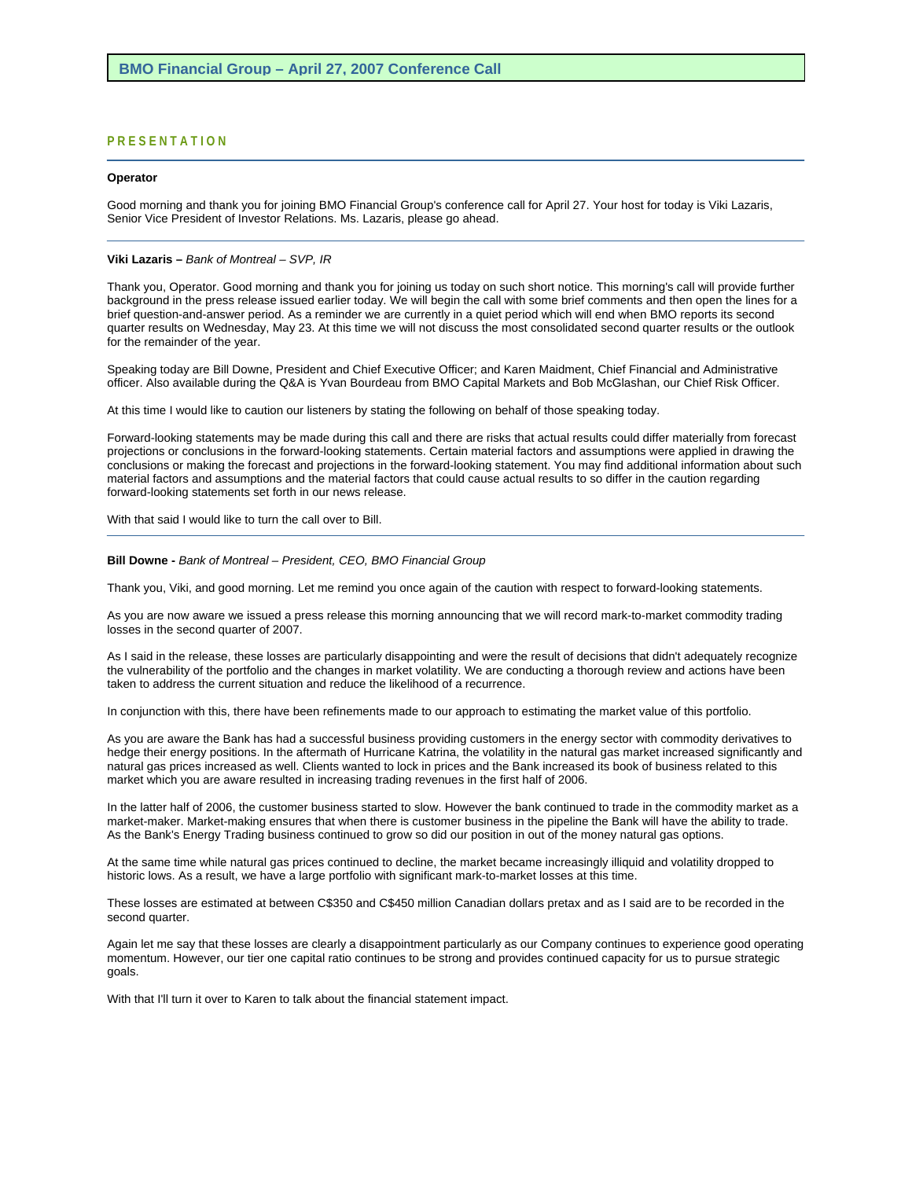# **PRESENTATION**

## **Operator**

Good morning and thank you for joining BMO Financial Group's conference call for April 27. Your host for today is Viki Lazaris, Senior Vice President of Investor Relations. Ms. Lazaris, please go ahead.

## **Viki Lazaris –** *Bank of Montreal – SVP, IR*

Thank you, Operator. Good morning and thank you for joining us today on such short notice. This morning's call will provide further background in the press release issued earlier today. We will begin the call with some brief comments and then open the lines for a brief question-and-answer period. As a reminder we are currently in a quiet period which will end when BMO reports its second quarter results on Wednesday, May 23. At this time we will not discuss the most consolidated second quarter results or the outlook for the remainder of the year.

Speaking today are Bill Downe, President and Chief Executive Officer; and Karen Maidment, Chief Financial and Administrative officer. Also available during the Q&A is Yvan Bourdeau from BMO Capital Markets and Bob McGlashan, our Chief Risk Officer.

At this time I would like to caution our listeners by stating the following on behalf of those speaking today.

Forward-looking statements may be made during this call and there are risks that actual results could differ materially from forecast projections or conclusions in the forward-looking statements. Certain material factors and assumptions were applied in drawing the conclusions or making the forecast and projections in the forward-looking statement. You may find additional information about such material factors and assumptions and the material factors that could cause actual results to so differ in the caution regarding forward-looking statements set forth in our news release.

With that said I would like to turn the call over to Bill.

#### **Bill Downe -** *Bank of Montreal – President, CEO, BMO Financial Group*

Thank you, Viki, and good morning. Let me remind you once again of the caution with respect to forward-looking statements.

As you are now aware we issued a press release this morning announcing that we will record mark-to-market commodity trading losses in the second quarter of 2007.

As I said in the release, these losses are particularly disappointing and were the result of decisions that didn't adequately recognize the vulnerability of the portfolio and the changes in market volatility. We are conducting a thorough review and actions have been taken to address the current situation and reduce the likelihood of a recurrence.

In conjunction with this, there have been refinements made to our approach to estimating the market value of this portfolio.

As you are aware the Bank has had a successful business providing customers in the energy sector with commodity derivatives to hedge their energy positions. In the aftermath of Hurricane Katrina, the volatility in the natural gas market increased significantly and natural gas prices increased as well. Clients wanted to lock in prices and the Bank increased its book of business related to this market which you are aware resulted in increasing trading revenues in the first half of 2006.

In the latter half of 2006, the customer business started to slow. However the bank continued to trade in the commodity market as a market-maker. Market-making ensures that when there is customer business in the pipeline the Bank will have the ability to trade. As the Bank's Energy Trading business continued to grow so did our position in out of the money natural gas options.

At the same time while natural gas prices continued to decline, the market became increasingly illiquid and volatility dropped to historic lows. As a result, we have a large portfolio with significant mark-to-market losses at this time.

These losses are estimated at between C\$350 and C\$450 million Canadian dollars pretax and as I said are to be recorded in the second quarter.

Again let me say that these losses are clearly a disappointment particularly as our Company continues to experience good operating momentum. However, our tier one capital ratio continues to be strong and provides continued capacity for us to pursue strategic goals.

With that I'll turn it over to Karen to talk about the financial statement impact.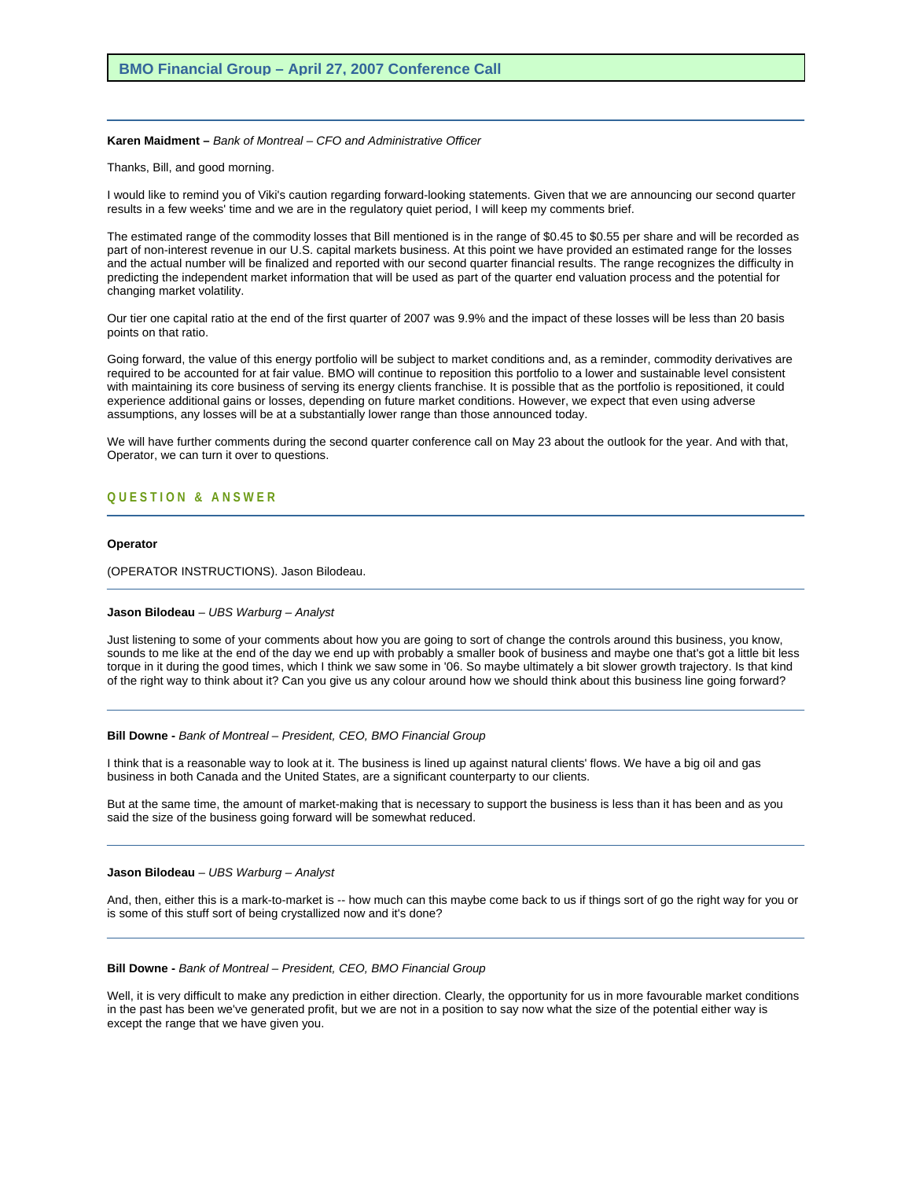### **Karen Maidment –** *Bank of Montreal – CFO and Administrative Officer*

Thanks, Bill, and good morning.

I would like to remind you of Viki's caution regarding forward-looking statements. Given that we are announcing our second quarter results in a few weeks' time and we are in the regulatory quiet period, I will keep my comments brief.

The estimated range of the commodity losses that Bill mentioned is in the range of \$0.45 to \$0.55 per share and will be recorded as part of non-interest revenue in our U.S. capital markets business. At this point we have provided an estimated range for the losses and the actual number will be finalized and reported with our second quarter financial results. The range recognizes the difficulty in predicting the independent market information that will be used as part of the quarter end valuation process and the potential for changing market volatility.

Our tier one capital ratio at the end of the first quarter of 2007 was 9.9% and the impact of these losses will be less than 20 basis points on that ratio.

Going forward, the value of this energy portfolio will be subject to market conditions and, as a reminder, commodity derivatives are required to be accounted for at fair value. BMO will continue to reposition this portfolio to a lower and sustainable level consistent with maintaining its core business of serving its energy clients franchise. It is possible that as the portfolio is repositioned, it could experience additional gains or losses, depending on future market conditions. However, we expect that even using adverse assumptions, any losses will be at a substantially lower range than those announced today.

We will have further comments during the second quarter conference call on May 23 about the outlook for the year. And with that, Operator, we can turn it over to questions.

# **QUESTION & ANSWER**

#### **Operator**

(OPERATOR INSTRUCTIONS). Jason Bilodeau.

## **Jason Bilodeau** – *UBS Warburg – Analyst*

Just listening to some of your comments about how you are going to sort of change the controls around this business, you know, sounds to me like at the end of the day we end up with probably a smaller book of business and maybe one that's got a little bit less torque in it during the good times, which I think we saw some in '06. So maybe ultimately a bit slower growth trajectory. Is that kind of the right way to think about it? Can you give us any colour around how we should think about this business line going forward?

## **Bill Downe -** *Bank of Montreal – President, CEO, BMO Financial Group*

I think that is a reasonable way to look at it. The business is lined up against natural clients' flows. We have a big oil and gas business in both Canada and the United States, are a significant counterparty to our clients.

But at the same time, the amount of market-making that is necessary to support the business is less than it has been and as you said the size of the business going forward will be somewhat reduced.

## **Jason Bilodeau** – *UBS Warburg – Analyst*

And, then, either this is a mark-to-market is -- how much can this maybe come back to us if things sort of go the right way for you or is some of this stuff sort of being crystallized now and it's done?

## **Bill Downe -** *Bank of Montreal – President, CEO, BMO Financial Group*

Well, it is very difficult to make any prediction in either direction. Clearly, the opportunity for us in more favourable market conditions in the past has been we've generated profit, but we are not in a position to say now what the size of the potential either way is except the range that we have given you.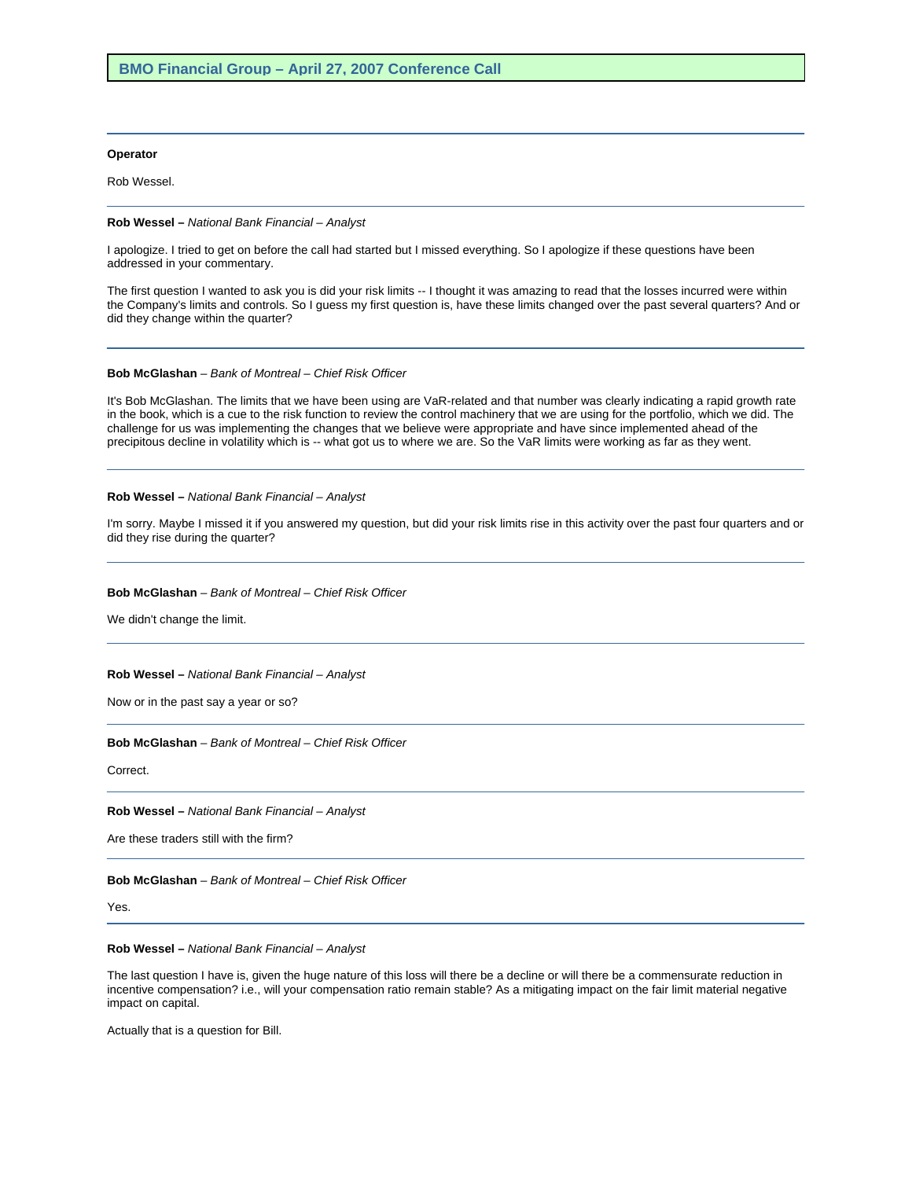## **Operator**

Rob Wessel.

#### **Rob Wessel –** *National Bank Financial – Analyst*

I apologize. I tried to get on before the call had started but I missed everything. So I apologize if these questions have been addressed in your commentary.

The first question I wanted to ask you is did your risk limits -- I thought it was amazing to read that the losses incurred were within the Company's limits and controls. So I guess my first question is, have these limits changed over the past several quarters? And or did they change within the quarter?

## **Bob McGlashan** *– Bank of Montreal – Chief Risk Officer*

It's Bob McGlashan. The limits that we have been using are VaR-related and that number was clearly indicating a rapid growth rate in the book, which is a cue to the risk function to review the control machinery that we are using for the portfolio, which we did. The challenge for us was implementing the changes that we believe were appropriate and have since implemented ahead of the precipitous decline in volatility which is -- what got us to where we are. So the VaR limits were working as far as they went.

## **Rob Wessel –** *National Bank Financial – Analyst*

I'm sorry. Maybe I missed it if you answered my question, but did your risk limits rise in this activity over the past four quarters and or did they rise during the quarter?

## **Bob McGlashan** *– Bank of Montreal – Chief Risk Officer*

We didn't change the limit.

#### **Rob Wessel –** *National Bank Financial – Analyst*

Now or in the past say a year or so?

## **Bob McGlashan** *– Bank of Montreal – Chief Risk Officer*

Correct.

## **Rob Wessel –** *National Bank Financial – Analyst*

Are these traders still with the firm?

**Bob McGlashan** *– Bank of Montreal – Chief Risk Officer*

Yes.

## **Rob Wessel –** *National Bank Financial – Analyst*

The last question I have is, given the huge nature of this loss will there be a decline or will there be a commensurate reduction in incentive compensation? i.e., will your compensation ratio remain stable? As a mitigating impact on the fair limit material negative impact on capital.

Actually that is a question for Bill.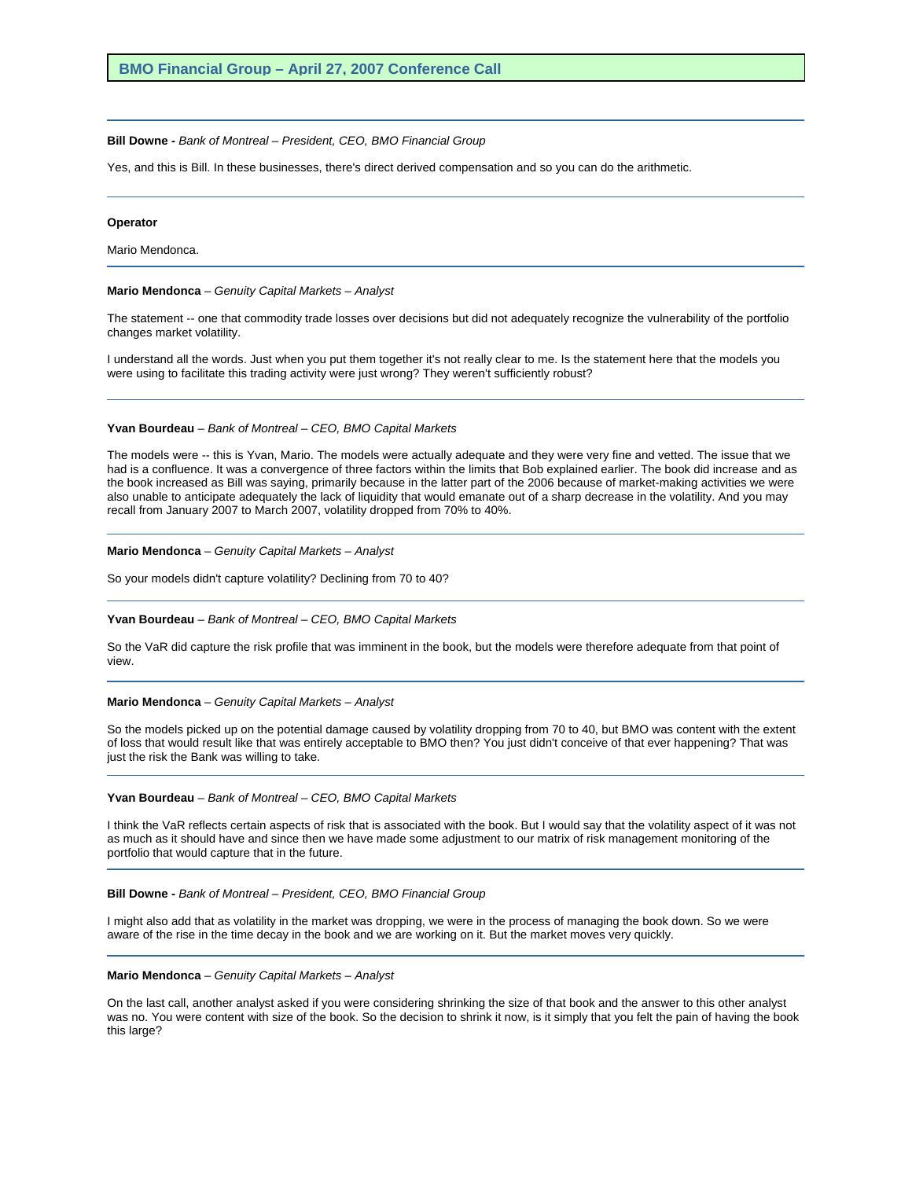## **Bill Downe -** *Bank of Montreal – President, CEO, BMO Financial Group*

Yes, and this is Bill. In these businesses, there's direct derived compensation and so you can do the arithmetic.

#### **Operator**

Mario Mendonca.

## **Mario Mendonca** – *Genuity Capital Markets – Analyst*

The statement -- one that commodity trade losses over decisions but did not adequately recognize the vulnerability of the portfolio changes market volatility.

I understand all the words. Just when you put them together it's not really clear to me. Is the statement here that the models you were using to facilitate this trading activity were just wrong? They weren't sufficiently robust?

## **Yvan Bourdeau** *– Bank of Montreal – CEO, BMO Capital Markets*

The models were -- this is Yvan, Mario. The models were actually adequate and they were very fine and vetted. The issue that we had is a confluence. It was a convergence of three factors within the limits that Bob explained earlier. The book did increase and as the book increased as Bill was saying, primarily because in the latter part of the 2006 because of market-making activities we were also unable to anticipate adequately the lack of liquidity that would emanate out of a sharp decrease in the volatility. And you may recall from January 2007 to March 2007, volatility dropped from 70% to 40%.

#### **Mario Mendonca** – *Genuity Capital Markets – Analyst*

So your models didn't capture volatility? Declining from 70 to 40?

## **Yvan Bourdeau** *– Bank of Montreal – CEO, BMO Capital Markets*

So the VaR did capture the risk profile that was imminent in the book, but the models were therefore adequate from that point of view.

## **Mario Mendonca** – *Genuity Capital Markets – Analyst*

So the models picked up on the potential damage caused by volatility dropping from 70 to 40, but BMO was content with the extent of loss that would result like that was entirely acceptable to BMO then? You just didn't conceive of that ever happening? That was just the risk the Bank was willing to take.

#### **Yvan Bourdeau** *– Bank of Montreal – CEO, BMO Capital Markets*

I think the VaR reflects certain aspects of risk that is associated with the book. But I would say that the volatility aspect of it was not as much as it should have and since then we have made some adjustment to our matrix of risk management monitoring of the portfolio that would capture that in the future.

## **Bill Downe -** *Bank of Montreal – President, CEO, BMO Financial Group*

I might also add that as volatility in the market was dropping, we were in the process of managing the book down. So we were aware of the rise in the time decay in the book and we are working on it. But the market moves very quickly.

## **Mario Mendonca** – *Genuity Capital Markets – Analyst*

On the last call, another analyst asked if you were considering shrinking the size of that book and the answer to this other analyst was no. You were content with size of the book. So the decision to shrink it now, is it simply that you felt the pain of having the book this large?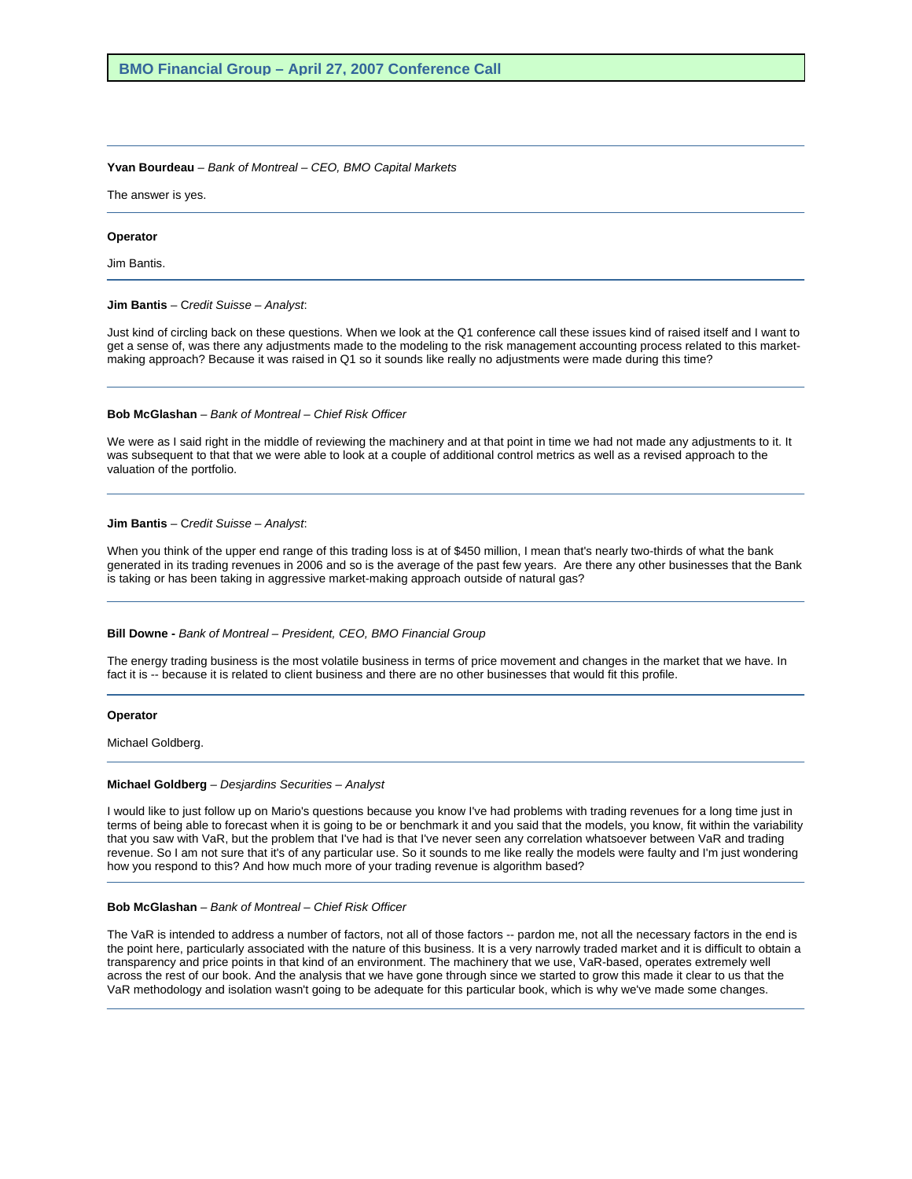### **Yvan Bourdeau** *– Bank of Montreal – CEO, BMO Capital Markets*

The answer is yes.

#### **Operator**

Jim Bantis.

#### **Jim Bantis** – C*redit Suisse – Analyst*:

Just kind of circling back on these questions. When we look at the Q1 conference call these issues kind of raised itself and I want to get a sense of, was there any adjustments made to the modeling to the risk management accounting process related to this marketmaking approach? Because it was raised in Q1 so it sounds like really no adjustments were made during this time?

## **Bob McGlashan** *– Bank of Montreal – Chief Risk Officer*

We were as I said right in the middle of reviewing the machinery and at that point in time we had not made any adjustments to it. It was subsequent to that that we were able to look at a couple of additional control metrics as well as a revised approach to the valuation of the portfolio.

## **Jim Bantis** – C*redit Suisse – Analyst*:

When you think of the upper end range of this trading loss is at of \$450 million, I mean that's nearly two-thirds of what the bank generated in its trading revenues in 2006 and so is the average of the past few years. Are there any other businesses that the Bank is taking or has been taking in aggressive market-making approach outside of natural gas?

## **Bill Downe -** *Bank of Montreal – President, CEO, BMO Financial Group*

The energy trading business is the most volatile business in terms of price movement and changes in the market that we have. In fact it is -- because it is related to client business and there are no other businesses that would fit this profile.

### **Operator**

Michael Goldberg.

## **Michael Goldberg** *– Desjardins Securities – Analyst*

I would like to just follow up on Mario's questions because you know I've had problems with trading revenues for a long time just in terms of being able to forecast when it is going to be or benchmark it and you said that the models, you know, fit within the variability that you saw with VaR, but the problem that I've had is that I've never seen any correlation whatsoever between VaR and trading revenue. So I am not sure that it's of any particular use. So it sounds to me like really the models were faulty and I'm just wondering how you respond to this? And how much more of your trading revenue is algorithm based?

## **Bob McGlashan** *– Bank of Montreal – Chief Risk Officer*

The VaR is intended to address a number of factors, not all of those factors -- pardon me, not all the necessary factors in the end is the point here, particularly associated with the nature of this business. It is a very narrowly traded market and it is difficult to obtain a transparency and price points in that kind of an environment. The machinery that we use, VaR-based, operates extremely well across the rest of our book. And the analysis that we have gone through since we started to grow this made it clear to us that the VaR methodology and isolation wasn't going to be adequate for this particular book, which is why we've made some changes.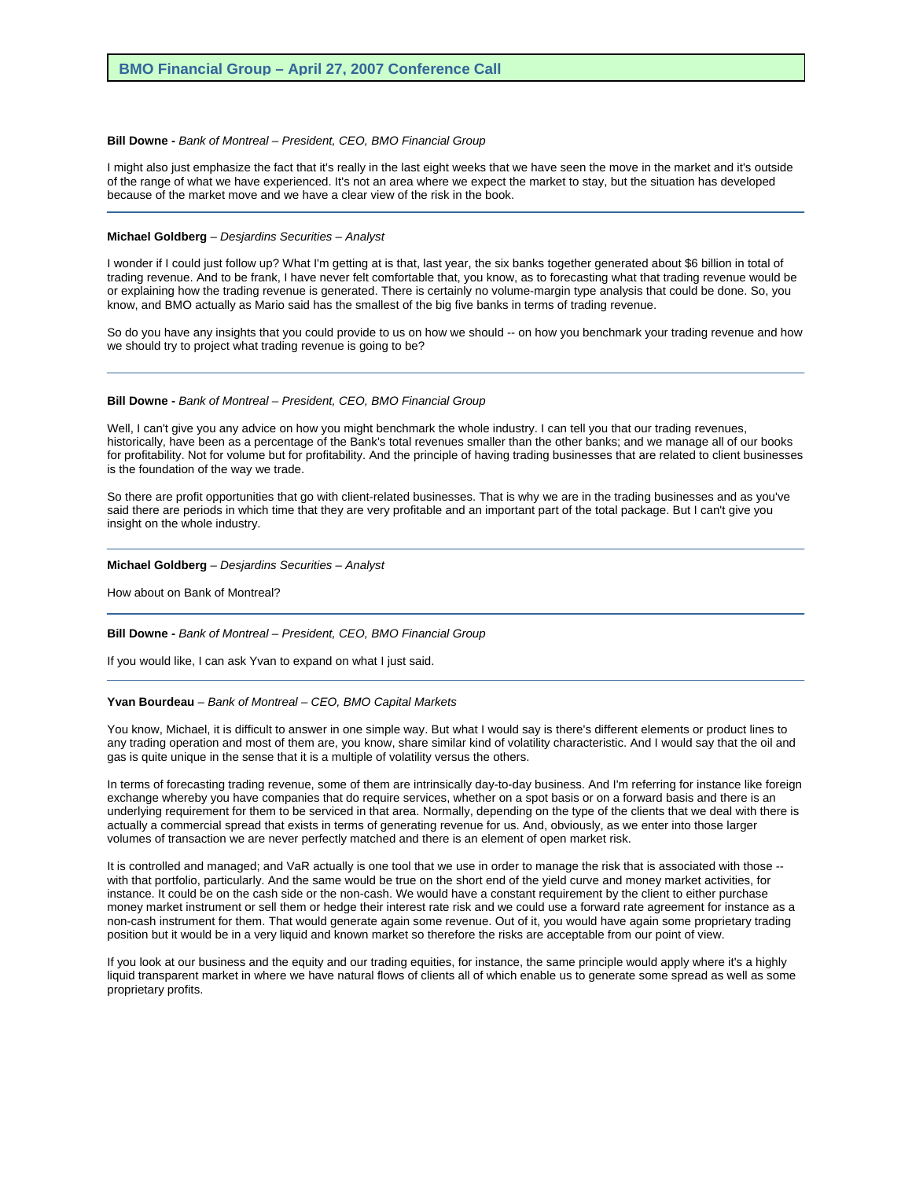## **Bill Downe -** *Bank of Montreal – President, CEO, BMO Financial Group*

I might also just emphasize the fact that it's really in the last eight weeks that we have seen the move in the market and it's outside of the range of what we have experienced. It's not an area where we expect the market to stay, but the situation has developed because of the market move and we have a clear view of the risk in the book.

## **Michael Goldberg** *– Desjardins Securities – Analyst*

I wonder if I could just follow up? What I'm getting at is that, last year, the six banks together generated about \$6 billion in total of trading revenue. And to be frank, I have never felt comfortable that, you know, as to forecasting what that trading revenue would be or explaining how the trading revenue is generated. There is certainly no volume-margin type analysis that could be done. So, you know, and BMO actually as Mario said has the smallest of the big five banks in terms of trading revenue.

So do you have any insights that you could provide to us on how we should -- on how you benchmark your trading revenue and how we should try to project what trading revenue is going to be?

## **Bill Downe -** *Bank of Montreal – President, CEO, BMO Financial Group*

Well, I can't give you any advice on how you might benchmark the whole industry. I can tell you that our trading revenues, historically, have been as a percentage of the Bank's total revenues smaller than the other banks; and we manage all of our books for profitability. Not for volume but for profitability. And the principle of having trading businesses that are related to client businesses is the foundation of the way we trade.

So there are profit opportunities that go with client-related businesses. That is why we are in the trading businesses and as you've said there are periods in which time that they are very profitable and an important part of the total package. But I can't give you insight on the whole industry.

## **Michael Goldberg** *– Desjardins Securities – Analyst*

How about on Bank of Montreal?

#### **Bill Downe -** *Bank of Montreal – President, CEO, BMO Financial Group*

If you would like, I can ask Yvan to expand on what I just said.

## **Yvan Bourdeau** *– Bank of Montreal – CEO, BMO Capital Markets*

You know, Michael, it is difficult to answer in one simple way. But what I would say is there's different elements or product lines to any trading operation and most of them are, you know, share similar kind of volatility characteristic. And I would say that the oil and gas is quite unique in the sense that it is a multiple of volatility versus the others.

In terms of forecasting trading revenue, some of them are intrinsically day-to-day business. And I'm referring for instance like foreign exchange whereby you have companies that do require services, whether on a spot basis or on a forward basis and there is an underlying requirement for them to be serviced in that area. Normally, depending on the type of the clients that we deal with there is actually a commercial spread that exists in terms of generating revenue for us. And, obviously, as we enter into those larger volumes of transaction we are never perfectly matched and there is an element of open market risk.

It is controlled and managed; and VaR actually is one tool that we use in order to manage the risk that is associated with those - with that portfolio, particularly. And the same would be true on the short end of the yield curve and money market activities, for instance. It could be on the cash side or the non-cash. We would have a constant requirement by the client to either purchase money market instrument or sell them or hedge their interest rate risk and we could use a forward rate agreement for instance as a non-cash instrument for them. That would generate again some revenue. Out of it, you would have again some proprietary trading position but it would be in a very liquid and known market so therefore the risks are acceptable from our point of view.

If you look at our business and the equity and our trading equities, for instance, the same principle would apply where it's a highly liquid transparent market in where we have natural flows of clients all of which enable us to generate some spread as well as some proprietary profits.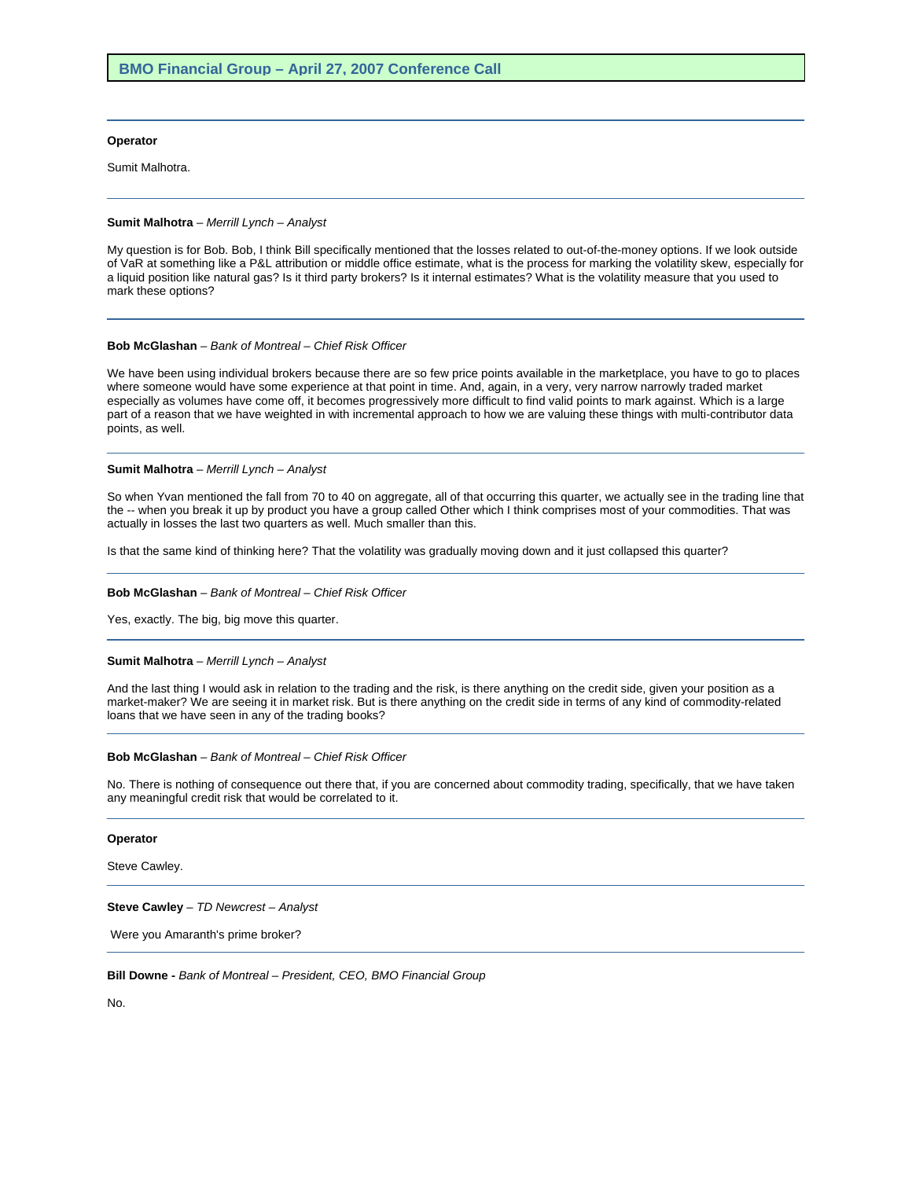## **Operator**

Sumit Malhotra.

### **Sumit Malhotra** – *Merrill Lynch – Analyst*

My question is for Bob. Bob, I think Bill specifically mentioned that the losses related to out-of-the-money options. If we look outside of VaR at something like a P&L attribution or middle office estimate, what is the process for marking the volatility skew, especially for a liquid position like natural gas? Is it third party brokers? Is it internal estimates? What is the volatility measure that you used to mark these options?

#### **Bob McGlashan** *– Bank of Montreal – Chief Risk Officer*

We have been using individual brokers because there are so few price points available in the marketplace, you have to go to places where someone would have some experience at that point in time. And, again, in a very, very narrow narrowly traded market especially as volumes have come off, it becomes progressively more difficult to find valid points to mark against. Which is a large part of a reason that we have weighted in with incremental approach to how we are valuing these things with multi-contributor data points, as well.

## **Sumit Malhotra** – *Merrill Lynch – Analyst*

So when Yvan mentioned the fall from 70 to 40 on aggregate, all of that occurring this quarter, we actually see in the trading line that the -- when you break it up by product you have a group called Other which I think comprises most of your commodities. That was actually in losses the last two quarters as well. Much smaller than this.

Is that the same kind of thinking here? That the volatility was gradually moving down and it just collapsed this quarter?

#### **Bob McGlashan** *– Bank of Montreal – Chief Risk Officer*

Yes, exactly. The big, big move this quarter.

## **Sumit Malhotra** – *Merrill Lynch – Analyst*

And the last thing I would ask in relation to the trading and the risk, is there anything on the credit side, given your position as a market-maker? We are seeing it in market risk. But is there anything on the credit side in terms of any kind of commodity-related loans that we have seen in any of the trading books?

#### **Bob McGlashan** *– Bank of Montreal – Chief Risk Officer*

No. There is nothing of consequence out there that, if you are concerned about commodity trading, specifically, that we have taken any meaningful credit risk that would be correlated to it.

#### **Operator**

Steve Cawley.

**Steve Cawley** – *TD Newcrest – Analyst* 

Were you Amaranth's prime broker?

**Bill Downe -** *Bank of Montreal – President, CEO, BMO Financial Group* 

No.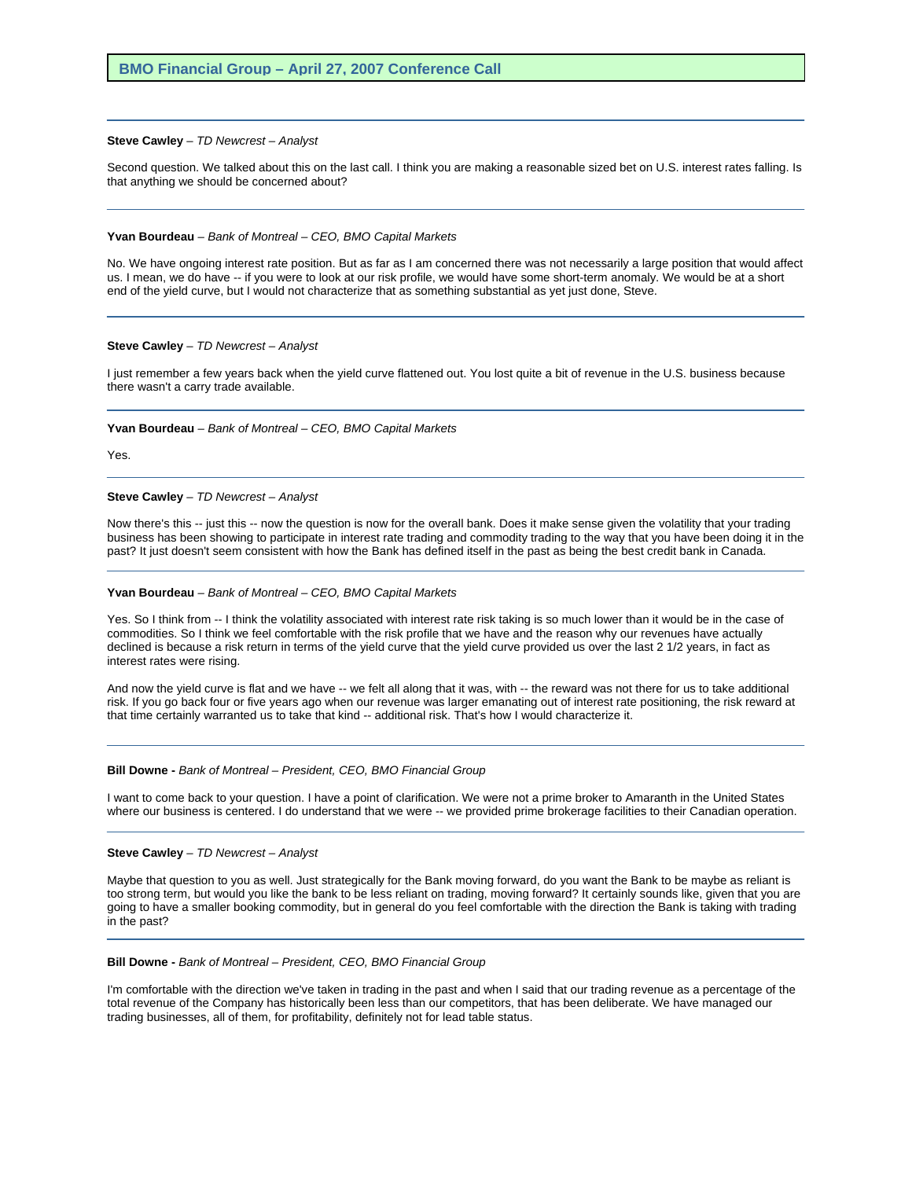## **BMO Financial Group – April 27, 2007 Conference Call**

## **Steve Cawley** – *TD Newcrest – Analyst*

Second question. We talked about this on the last call. I think you are making a reasonable sized bet on U.S. interest rates falling. Is that anything we should be concerned about?

## **Yvan Bourdeau** *– Bank of Montreal – CEO, BMO Capital Markets*

No. We have ongoing interest rate position. But as far as I am concerned there was not necessarily a large position that would affect us. I mean, we do have -- if you were to look at our risk profile, we would have some short-term anomaly. We would be at a short end of the yield curve, but I would not characterize that as something substantial as yet just done, Steve.

### **Steve Cawley** – *TD Newcrest – Analyst*

I just remember a few years back when the yield curve flattened out. You lost quite a bit of revenue in the U.S. business because there wasn't a carry trade available.

## **Yvan Bourdeau** *– Bank of Montreal – CEO, BMO Capital Markets*

Yes.

## **Steve Cawley** – *TD Newcrest – Analyst*

Now there's this -- just this -- now the question is now for the overall bank. Does it make sense given the volatility that your trading business has been showing to participate in interest rate trading and commodity trading to the way that you have been doing it in the past? It just doesn't seem consistent with how the Bank has defined itself in the past as being the best credit bank in Canada.

## **Yvan Bourdeau** *– Bank of Montreal – CEO, BMO Capital Markets*

Yes. So I think from -- I think the volatility associated with interest rate risk taking is so much lower than it would be in the case of commodities. So I think we feel comfortable with the risk profile that we have and the reason why our revenues have actually declined is because a risk return in terms of the yield curve that the yield curve provided us over the last 2 1/2 years, in fact as interest rates were rising.

And now the yield curve is flat and we have -- we felt all along that it was, with -- the reward was not there for us to take additional risk. If you go back four or five years ago when our revenue was larger emanating out of interest rate positioning, the risk reward at that time certainly warranted us to take that kind -- additional risk. That's how I would characterize it.

### **Bill Downe -** *Bank of Montreal – President, CEO, BMO Financial Group*

I want to come back to your question. I have a point of clarification. We were not a prime broker to Amaranth in the United States where our business is centered. I do understand that we were -- we provided prime brokerage facilities to their Canadian operation.

## **Steve Cawley** – *TD Newcrest – Analyst*

Maybe that question to you as well. Just strategically for the Bank moving forward, do you want the Bank to be maybe as reliant is too strong term, but would you like the bank to be less reliant on trading, moving forward? It certainly sounds like, given that you are going to have a smaller booking commodity, but in general do you feel comfortable with the direction the Bank is taking with trading in the past?

## **Bill Downe -** *Bank of Montreal – President, CEO, BMO Financial Group*

I'm comfortable with the direction we've taken in trading in the past and when I said that our trading revenue as a percentage of the total revenue of the Company has historically been less than our competitors, that has been deliberate. We have managed our trading businesses, all of them, for profitability, definitely not for lead table status.